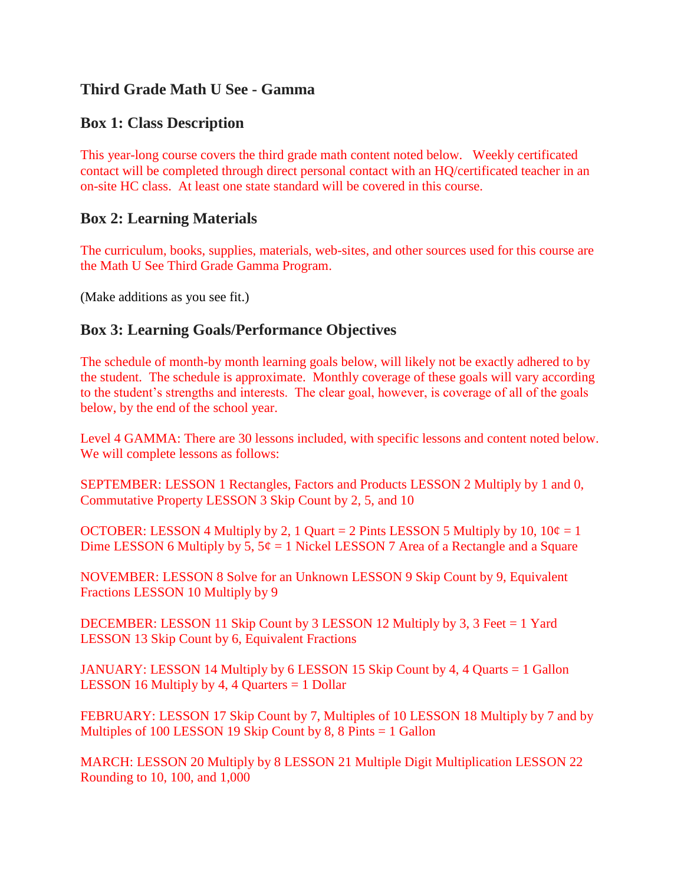# **Third Grade Math U See - Gamma**

## **Box 1: Class Description**

This year-long course covers the third grade math content noted below. Weekly certificated contact will be completed through direct personal contact with an HQ/certificated teacher in an on-site HC class. At least one state standard will be covered in this course.

### **Box 2: Learning Materials**

The curriculum, books, supplies, materials, web-sites, and other sources used for this course are the Math U See Third Grade Gamma Program.

(Make additions as you see fit.)

## **Box 3: Learning Goals/Performance Objectives**

The schedule of month-by month learning goals below, will likely not be exactly adhered to by the student. The schedule is approximate. Monthly coverage of these goals will vary according to the student's strengths and interests. The clear goal, however, is coverage of all of the goals below, by the end of the school year.

Level 4 GAMMA: There are 30 lessons included, with specific lessons and content noted below. We will complete lessons as follows:

SEPTEMBER: LESSON 1 Rectangles, Factors and Products LESSON 2 Multiply by 1 and 0, Commutative Property LESSON 3 Skip Count by 2, 5, and 10

OCTOBER: LESSON 4 Multiply by 2, 1 Quart = 2 Pints LESSON 5 Multiply by 10,  $10\phi = 1$ Dime LESSON 6 Multiply by 5,  $5¢ = 1$  Nickel LESSON 7 Area of a Rectangle and a Square

NOVEMBER: LESSON 8 Solve for an Unknown LESSON 9 Skip Count by 9, Equivalent Fractions LESSON 10 Multiply by 9

DECEMBER: LESSON 11 Skip Count by 3 LESSON 12 Multiply by 3, 3 Feet = 1 Yard LESSON 13 Skip Count by 6, Equivalent Fractions

JANUARY: LESSON 14 Multiply by 6 LESSON 15 Skip Count by 4, 4 Quarts = 1 Gallon **LESSON 16 Multiply by 4, 4 Quarters**  $= 1$  **Dollar** 

FEBRUARY: LESSON 17 Skip Count by 7, Multiples of 10 LESSON 18 Multiply by 7 and by Multiples of 100 LESSON 19 Skip Count by 8, 8 Pints = 1 Gallon

MARCH: LESSON 20 Multiply by 8 LESSON 21 Multiple Digit Multiplication LESSON 22 Rounding to 10, 100, and 1,000